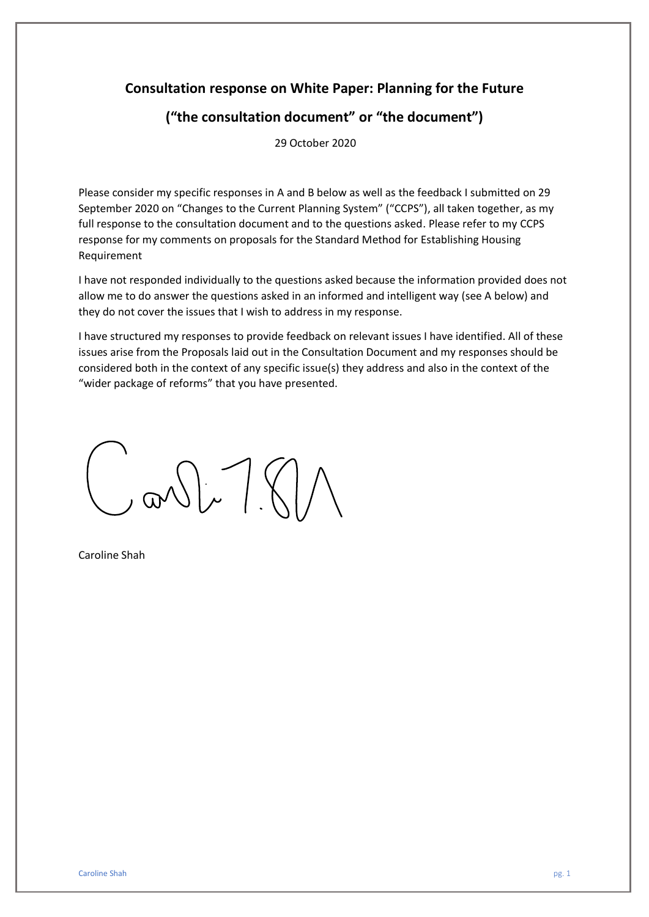## **Consultation response on White Paper: Planning for the Future**

# **("the consultation document" or "the document")**

29 October 2020

Please consider my specific responses in A and B below as well as the feedback I submitted on 29 September 2020 on "Changes to the Current Planning System" ("CCPS"), all taken together, as my full response to the consultation document and to the questions asked. Please refer to my CCPS response for my comments on proposals for the Standard Method for Establishing Housing Requirement

I have not responded individually to the questions asked because the information provided does not allow me to do answer the questions asked in an informed and intelligent way (see A below) and they do not cover the issues that I wish to address in my response.

I have structured my responses to provide feedback on relevant issues I have identified. All of these issues arise from the Proposals laid out in the Consultation Document and my responses should be considered both in the context of any specific issue(s) they address and also in the context of the "wider package of reforms" that you have presented.

 $M/T$ 

Caroline Shah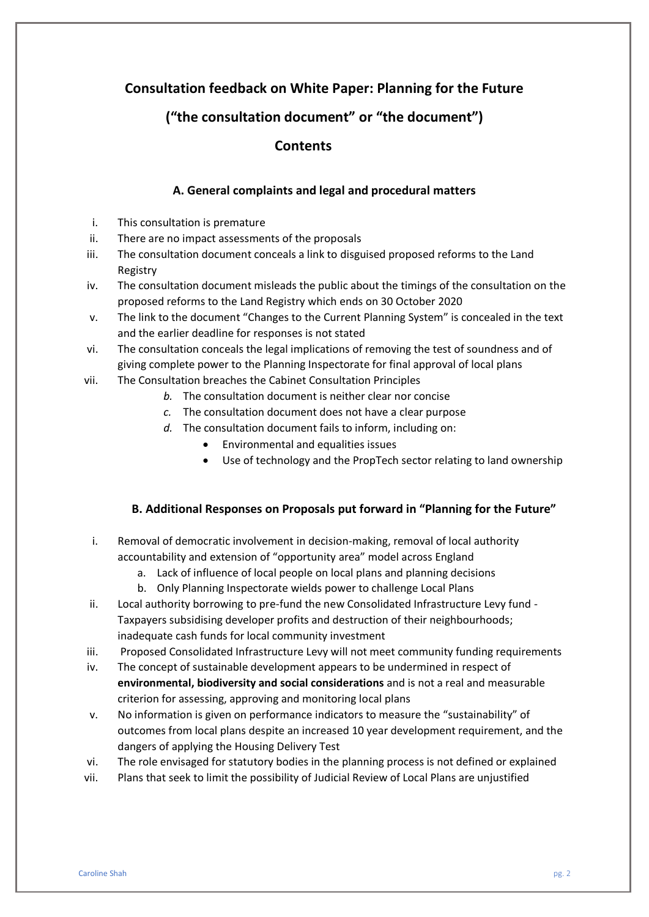## **Consultation feedback on White Paper: Planning for the Future**

## **("the consultation document" or "the document")**

## **Contents**

### **A. General complaints and legal and procedural matters**

- i. This consultation is premature
- ii. There are no impact assessments of the proposals
- iii. The consultation document conceals a link to disguised proposed reforms to the Land Registry
- iv. The consultation document misleads the public about the timings of the consultation on the proposed reforms to the Land Registry which ends on 30 October 2020
- v. The link to the document "Changes to the Current Planning System" is concealed in the text and the earlier deadline for responses is not stated
- vi. The consultation conceals the legal implications of removing the test of soundness and of giving complete power to the Planning Inspectorate for final approval of local plans
- vii. The Consultation breaches the Cabinet Consultation Principles
	- *b.* The consultation document is neither clear nor concise
	- *c.* The consultation document does not have a clear purpose
	- *d.* The consultation document fails to inform, including on:
		- Environmental and equalities issues
		- Use of technology and the PropTech sector relating to land ownership

### **B. Additional Responses on Proposals put forward in "Planning for the Future"**

- i. Removal of democratic involvement in decision-making, removal of local authority accountability and extension of "opportunity area" model across England
	- a. Lack of influence of local people on local plans and planning decisions
	- b. Only Planning Inspectorate wields power to challenge Local Plans
- ii. Local authority borrowing to pre-fund the new Consolidated Infrastructure Levy fund Taxpayers subsidising developer profits and destruction of their neighbourhoods; inadequate cash funds for local community investment
- iii. Proposed Consolidated Infrastructure Levy will not meet community funding requirements
- iv. The concept of sustainable development appears to be undermined in respect of **environmental, biodiversity and social considerations** and is not a real and measurable criterion for assessing, approving and monitoring local plans
- v. No information is given on performance indicators to measure the "sustainability" of outcomes from local plans despite an increased 10 year development requirement, and the dangers of applying the Housing Delivery Test
- vi. The role envisaged for statutory bodies in the planning process is not defined or explained
- vii. Plans that seek to limit the possibility of Judicial Review of Local Plans are unjustified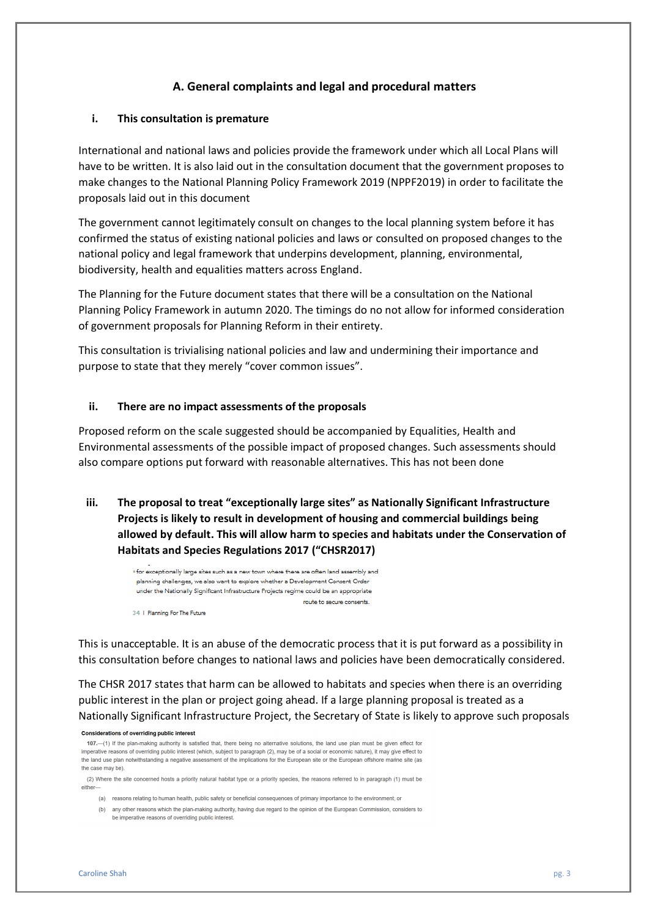### **A. General complaints and legal and procedural matters**

### **i. This consultation is premature**

International and national laws and policies provide the framework under which all Local Plans will have to be written. It is also laid out in the consultation document that the government proposes to make changes to the National Planning Policy Framework 2019 (NPPF2019) in order to facilitate the proposals laid out in this document

The government cannot legitimately consult on changes to the local planning system before it has confirmed the status of existing national policies and laws or consulted on proposed changes to the national policy and legal framework that underpins development, planning, environmental, biodiversity, health and equalities matters across England.

The Planning for the Future document states that there will be a consultation on the National Planning Policy Framework in autumn 2020. The timings do no not allow for informed consideration of government proposals for Planning Reform in their entirety.

This consultation is trivialising national policies and law and undermining their importance and purpose to state that they merely "cover common issues".

#### **ii. There are no impact assessments of the proposals**

Proposed reform on the scale suggested should be accompanied by Equalities, Health and Environmental assessments of the possible impact of proposed changes. Such assessments should also compare options put forward with reasonable alternatives. This has not been done

**iii. The proposal to treat "exceptionally large sites" as Nationally Significant Infrastructure Projects is likely to result in development of housing and commercial buildings being allowed by default. This will allow harm to species and habitats under the Conservation of Habitats and Species Regulations 2017 ("CHSR2017)**

. for exceptionally large sites such as a new town where there are often land assembly and planning challenges, we also want to explore whether a Development Consent Order under the Nationally Significant Infrastructure Projects regime could be an appropriate route to secure consents.

34 | Planning For The Future

This is unacceptable. It is an abuse of the democratic process that it is put forward as a possibility in this consultation before changes to national laws and policies have been democratically considered.

The CHSR 2017 states that harm can be allowed to habitats and species when there is an overriding public interest in the plan or project going ahead. If a large planning proposal is treated as a Nationally Significant Infrastructure Project, the Secretary of State is likely to approve such proposals

#### **Considerations of overriding public interest**

107.-(1) If the plan-making authority is satisfied that, there being no alternative solutions, the land use plan must be given effect for imperative reasons of overriding public interest (which, subject to paragraph (2), may be of a social or economic nature), it may give effect to the land use plan notwithstanding a negative assessment of the implications for the European site or the European offshore marine site (as the case may be).

(2) Where the site concerned hosts a priority natural habitat type or a priority species, the reasons referred to in paragraph (1) must be either-

(a) reasons relating to human health, public safety or beneficial consequences of primary importance to the environment; or

(b) any other reasons which the plan-making authority, having due regard to the opinion of the European Commission, considers to be imperative reasons of overriding public interest.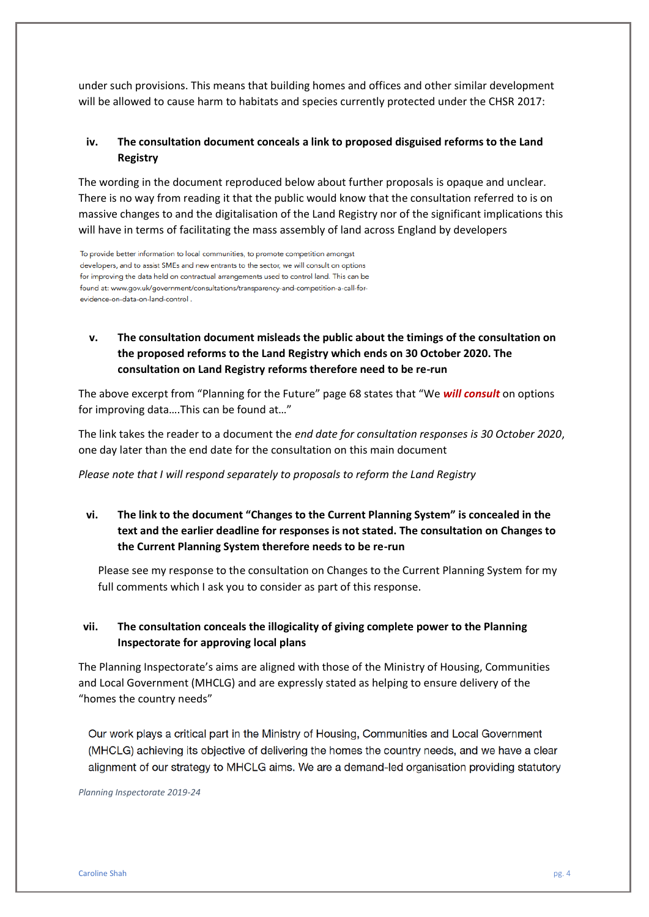under such provisions. This means that building homes and offices and other similar development will be allowed to cause harm to habitats and species currently protected under the CHSR 2017:

### **iv. The consultation document conceals a link to proposed disguised reforms to the Land Registry**

The wording in the document reproduced below about further proposals is opaque and unclear. There is no way from reading it that the public would know that the consultation referred to is on massive changes to and the digitalisation of the Land Registry nor of the significant implications this will have in terms of facilitating the mass assembly of land across England by developers

To provide better information to local communities, to promote competition amongst developers, and to assist SMEs and new entrants to the sector, we will consult on options for improving the data held on contractual arrangements used to control land. This can be found at: www.gov.uk/government/consultations/transparency-and-competition-a-call-forevidence-on-data-on-land-control.

### **v. The consultation document misleads the public about the timings of the consultation on the proposed reforms to the Land Registry which ends on 30 October 2020. The consultation on Land Registry reforms therefore need to be re-run**

The above excerpt from "Planning for the Future" page 68 states that "We *will consult* on options for improving data….This can be found at…"

The link takes the reader to a document the *end date for consultation responses is 30 October 2020*, one day later than the end date for the consultation on this main document

*Please note that I will respond separately to proposals to reform the Land Registry*

**vi. The link to the document "Changes to the Current Planning System" is concealed in the text and the earlier deadline for responses is not stated. The consultation on Changes to the Current Planning System therefore needs to be re-run** 

Please see my response to the consultation on Changes to the Current Planning System for my full comments which I ask you to consider as part of this response.

### **vii. The consultation conceals the illogicality of giving complete power to the Planning Inspectorate for approving local plans**

The Planning Inspectorate's aims are aligned with those of the Ministry of Housing, Communities and Local Government (MHCLG) and are expressly stated as helping to ensure delivery of the "homes the country needs"

Our work plays a critical part in the Ministry of Housing, Communities and Local Government (MHCLG) achieving its objective of delivering the homes the country needs, and we have a clear alignment of our strategy to MHCLG aims. We are a demand-led organisation providing statutory

*Planning Inspectorate 2019-24*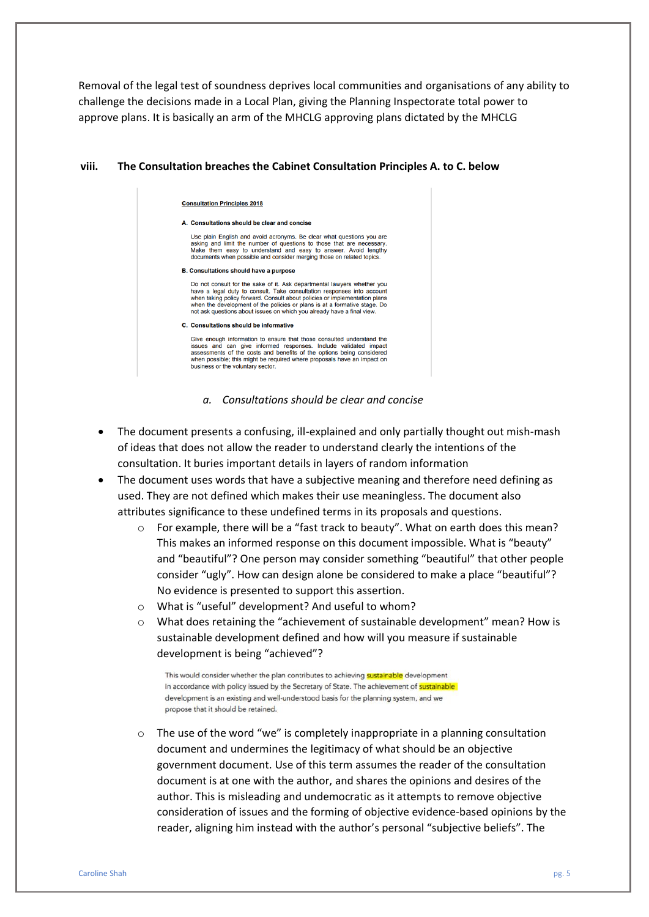Removal of the legal test of soundness deprives local communities and organisations of any ability to challenge the decisions made in a Local Plan, giving the Planning Inspectorate total power to approve plans. It is basically an arm of the MHCLG approving plans dictated by the MHCLG

#### **viii. The Consultation breaches the Cabinet Consultation Principles A. to C. below**

| A. Consultations should be clear and concise                                                                                                                                                                                                                                                                                                                                           |
|----------------------------------------------------------------------------------------------------------------------------------------------------------------------------------------------------------------------------------------------------------------------------------------------------------------------------------------------------------------------------------------|
| Use plain English and avoid acronyms. Be clear what questions you are<br>asking and limit the number of questions to those that are necessary.<br>Make them easy to understand and easy to answer. Avoid lengthy<br>documents when possible and consider merging those on related topics.                                                                                              |
| <b>B. Consultations should have a purpose</b>                                                                                                                                                                                                                                                                                                                                          |
| Do not consult for the sake of it. Ask departmental lawyers whether you<br>have a legal duty to consult. Take consultation responses into account<br>when taking policy forward. Consult about policies or implementation plans<br>when the development of the policies or plans is at a formative stage. Do<br>not ask questions about issues on which you already have a final view. |
| C. Consultations should be informative                                                                                                                                                                                                                                                                                                                                                 |
| Give enough information to ensure that those consulted understand the<br>issues and can give informed responses. Include validated impact<br>assessments of the costs and benefits of the options being considered<br>when possible; this might be required where proposals have an impact on                                                                                          |

busine

ess or the voluntary sector

*a. Consultations should be clear and concise*

- The document presents a confusing, ill-explained and only partially thought out mish-mash of ideas that does not allow the reader to understand clearly the intentions of the consultation. It buries important details in layers of random information
- The document uses words that have a subjective meaning and therefore need defining as used. They are not defined which makes their use meaningless. The document also attributes significance to these undefined terms in its proposals and questions.
	- o For example, there will be a "fast track to beauty". What on earth does this mean? This makes an informed response on this document impossible. What is "beauty" and "beautiful"? One person may consider something "beautiful" that other people consider "ugly". How can design alone be considered to make a place "beautiful"? No evidence is presented to support this assertion.
	- o What is "useful" development? And useful to whom?
	- o What does retaining the "achievement of sustainable development" mean? How is sustainable development defined and how will you measure if sustainable development is being "achieved"?

This would consider whether the plan contributes to achieving sustainable development in accordance with policy issued by the Secretary of State. The achievement of sustainable development is an existing and well-understood basis for the planning system, and we propose that it should be retained.

 $\circ$  The use of the word "we" is completely inappropriate in a planning consultation document and undermines the legitimacy of what should be an objective government document. Use of this term assumes the reader of the consultation document is at one with the author, and shares the opinions and desires of the author. This is misleading and undemocratic as it attempts to remove objective consideration of issues and the forming of objective evidence-based opinions by the reader, aligning him instead with the author's personal "subjective beliefs". The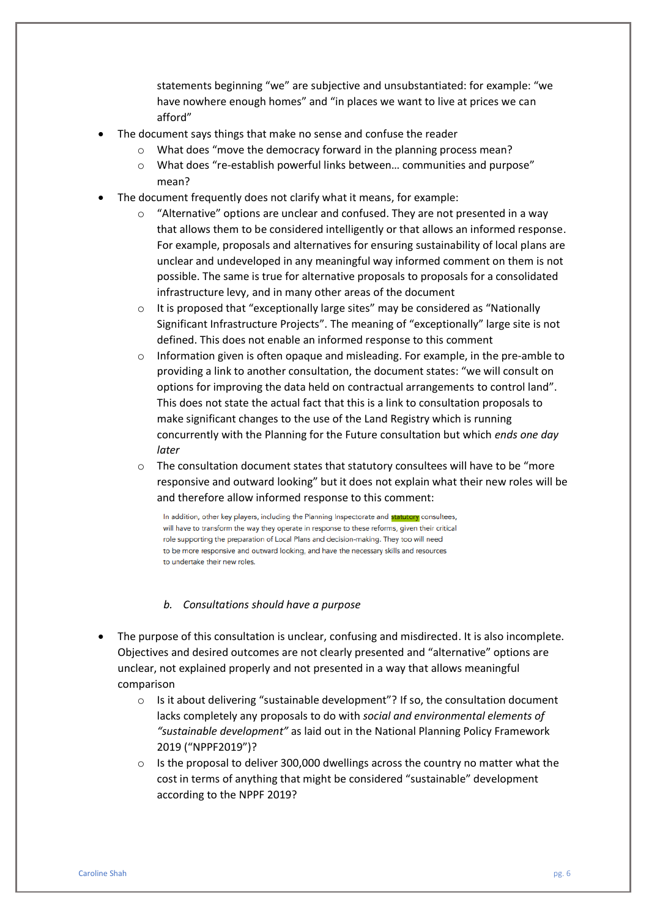statements beginning "we" are subjective and unsubstantiated: for example: "we have nowhere enough homes" and "in places we want to live at prices we can afford"

- The document says things that make no sense and confuse the reader
	- o What does "move the democracy forward in the planning process mean?
	- o What does "re-establish powerful links between… communities and purpose" mean?
- The document frequently does not clarify what it means, for example:
	- $\circ$  "Alternative" options are unclear and confused. They are not presented in a way that allows them to be considered intelligently or that allows an informed response. For example, proposals and alternatives for ensuring sustainability of local plans are unclear and undeveloped in any meaningful way informed comment on them is not possible. The same is true for alternative proposals to proposals for a consolidated infrastructure levy, and in many other areas of the document
	- o It is proposed that "exceptionally large sites" may be considered as "Nationally Significant Infrastructure Projects". The meaning of "exceptionally" large site is not defined. This does not enable an informed response to this comment
	- $\circ$  Information given is often opaque and misleading. For example, in the pre-amble to providing a link to another consultation, the document states: "we will consult on options for improving the data held on contractual arrangements to control land". This does not state the actual fact that this is a link to consultation proposals to make significant changes to the use of the Land Registry which is running concurrently with the Planning for the Future consultation but which *ends one day later*
	- $\circ$  The consultation document states that statutory consultees will have to be "more responsive and outward looking" but it does not explain what their new roles will be and therefore allow informed response to this comment:

In addition, other key players, including the Planning Inspectorate and statutory consultees, will have to transform the way they operate in response to these reforms, given their critical role supporting the preparation of Local Plans and decision-making. They too will need to be more responsive and outward looking, and have the necessary skills and resources to undertake their new roles.

#### *b. Consultations should have a purpose*

- The purpose of this consultation is unclear, confusing and misdirected. It is also incomplete. Objectives and desired outcomes are not clearly presented and "alternative" options are unclear, not explained properly and not presented in a way that allows meaningful comparison
	- $\circ$  Is it about delivering "sustainable development"? If so, the consultation document lacks completely any proposals to do with *social and environmental elements of "sustainable development"* as laid out in the National Planning Policy Framework 2019 ("NPPF2019")?
	- $\circ$  Is the proposal to deliver 300,000 dwellings across the country no matter what the cost in terms of anything that might be considered "sustainable" development according to the NPPF 2019?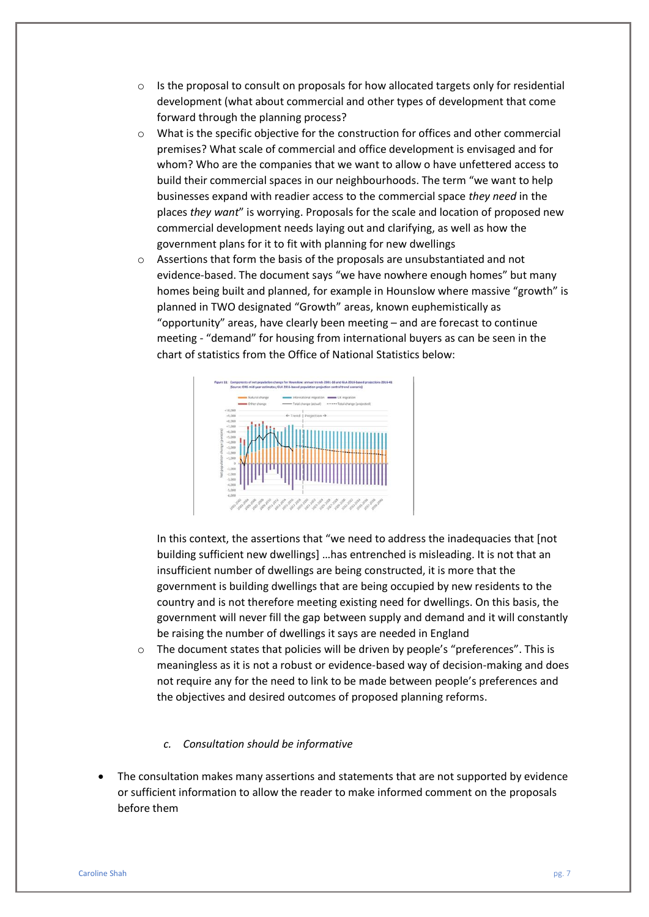- $\circ$  Is the proposal to consult on proposals for how allocated targets only for residential development (what about commercial and other types of development that come forward through the planning process?
- o What is the specific objective for the construction for offices and other commercial premises? What scale of commercial and office development is envisaged and for whom? Who are the companies that we want to allow o have unfettered access to build their commercial spaces in our neighbourhoods. The term "we want to help businesses expand with readier access to the commercial space *they need* in the places *they want*" is worrying. Proposals for the scale and location of proposed new commercial development needs laying out and clarifying, as well as how the government plans for it to fit with planning for new dwellings
- o Assertions that form the basis of the proposals are unsubstantiated and not evidence-based. The document says "we have nowhere enough homes" but many homes being built and planned, for example in Hounslow where massive "growth" is planned in TWO designated "Growth" areas, known euphemistically as "opportunity" areas, have clearly been meeting – and are forecast to continue meeting - "demand" for housing from international buyers as can be seen in the chart of statistics from the Office of National Statistics below:



In this context, the assertions that "we need to address the inadequacies that [not building sufficient new dwellings] …has entrenched is misleading. It is not that an insufficient number of dwellings are being constructed, it is more that the government is building dwellings that are being occupied by new residents to the country and is not therefore meeting existing need for dwellings. On this basis, the government will never fill the gap between supply and demand and it will constantly be raising the number of dwellings it says are needed in England

o The document states that policies will be driven by people's "preferences". This is meaningless as it is not a robust or evidence-based way of decision-making and does not require any for the need to link to be made between people's preferences and the objectives and desired outcomes of proposed planning reforms.

### *c. Consultation should be informative*

• The consultation makes many assertions and statements that are not supported by evidence or sufficient information to allow the reader to make informed comment on the proposals before them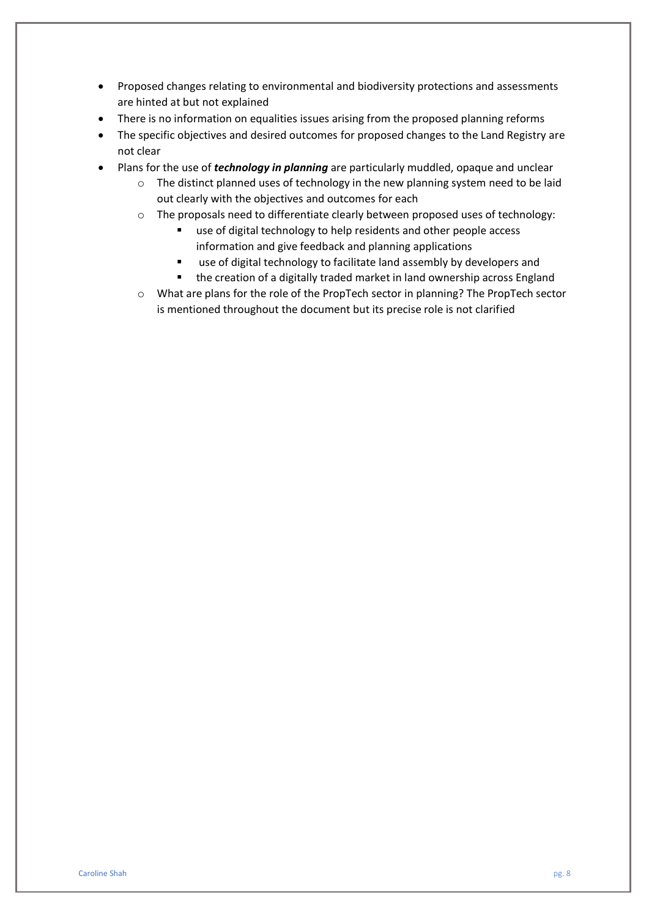- Proposed changes relating to environmental and biodiversity protections and assessments are hinted at but not explained
- There is no information on equalities issues arising from the proposed planning reforms
- The specific objectives and desired outcomes for proposed changes to the Land Registry are not clear
- Plans for the use of *technology in planning* are particularly muddled, opaque and unclear
	- $\circ$  The distinct planned uses of technology in the new planning system need to be laid out clearly with the objectives and outcomes for each
	- o The proposals need to differentiate clearly between proposed uses of technology:
		- use of digital technology to help residents and other people access information and give feedback and planning applications
		- use of digital technology to facilitate land assembly by developers and
		- the creation of a digitally traded market in land ownership across England
	- o What are plans for the role of the PropTech sector in planning? The PropTech sector is mentioned throughout the document but its precise role is not clarified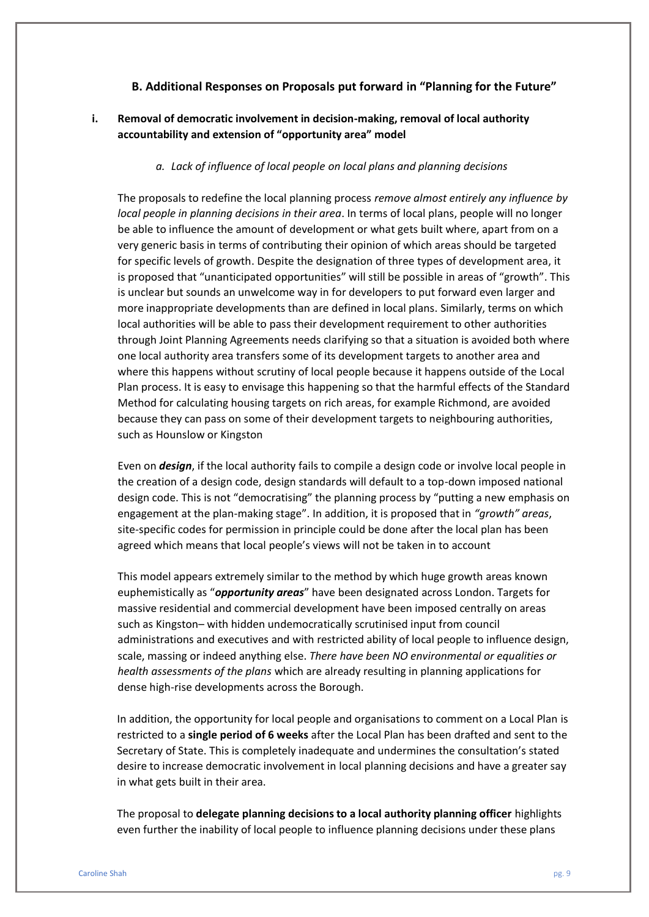### **B. Additional Responses on Proposals put forward in "Planning for the Future"**

### **i. Removal of democratic involvement in decision-making, removal of local authority accountability and extension of "opportunity area" model**

#### *a. Lack of influence of local people on local plans and planning decisions*

The proposals to redefine the local planning process *remove almost entirely any influence by local people in planning decisions in their area*. In terms of local plans, people will no longer be able to influence the amount of development or what gets built where, apart from on a very generic basis in terms of contributing their opinion of which areas should be targeted for specific levels of growth. Despite the designation of three types of development area, it is proposed that "unanticipated opportunities" will still be possible in areas of "growth". This is unclear but sounds an unwelcome way in for developers to put forward even larger and more inappropriate developments than are defined in local plans. Similarly, terms on which local authorities will be able to pass their development requirement to other authorities through Joint Planning Agreements needs clarifying so that a situation is avoided both where one local authority area transfers some of its development targets to another area and where this happens without scrutiny of local people because it happens outside of the Local Plan process. It is easy to envisage this happening so that the harmful effects of the Standard Method for calculating housing targets on rich areas, for example Richmond, are avoided because they can pass on some of their development targets to neighbouring authorities, such as Hounslow or Kingston

Even on *design*, if the local authority fails to compile a design code or involve local people in the creation of a design code, design standards will default to a top-down imposed national design code. This is not "democratising" the planning process by "putting a new emphasis on engagement at the plan-making stage". In addition, it is proposed that in *"growth" areas*, site-specific codes for permission in principle could be done after the local plan has been agreed which means that local people's views will not be taken in to account

This model appears extremely similar to the method by which huge growth areas known euphemistically as "*opportunity areas*" have been designated across London. Targets for massive residential and commercial development have been imposed centrally on areas such as Kingston– with hidden undemocratically scrutinised input from council administrations and executives and with restricted ability of local people to influence design, scale, massing or indeed anything else. *There have been NO environmental or equalities or health assessments of the plans* which are already resulting in planning applications for dense high-rise developments across the Borough.

In addition, the opportunity for local people and organisations to comment on a Local Plan is restricted to a **single period of 6 weeks** after the Local Plan has been drafted and sent to the Secretary of State. This is completely inadequate and undermines the consultation's stated desire to increase democratic involvement in local planning decisions and have a greater say in what gets built in their area.

The proposal to **delegate planning decisions to a local authority planning officer** highlights even further the inability of local people to influence planning decisions under these plans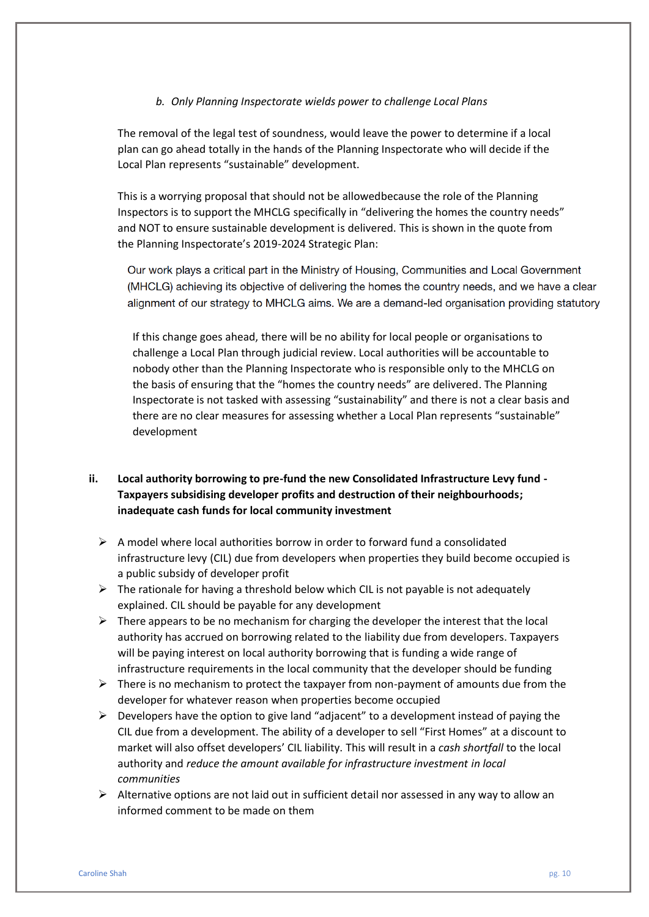### *b. Only Planning Inspectorate wields power to challenge Local Plans*

The removal of the legal test of soundness, would leave the power to determine if a local plan can go ahead totally in the hands of the Planning Inspectorate who will decide if the Local Plan represents "sustainable" development.

This is a worrying proposal that should not be allowedbecause the role of the Planning Inspectors is to support the MHCLG specifically in "delivering the homes the country needs" and NOT to ensure sustainable development is delivered. This is shown in the quote from the Planning Inspectorate's 2019-2024 Strategic Plan:

Our work plays a critical part in the Ministry of Housing, Communities and Local Government (MHCLG) achieving its objective of delivering the homes the country needs, and we have a clear alignment of our strategy to MHCLG aims. We are a demand-led organisation providing statutory

If this change goes ahead, there will be no ability for local people or organisations to challenge a Local Plan through judicial review. Local authorities will be accountable to nobody other than the Planning Inspectorate who is responsible only to the MHCLG on the basis of ensuring that the "homes the country needs" are delivered. The Planning Inspectorate is not tasked with assessing "sustainability" and there is not a clear basis and there are no clear measures for assessing whether a Local Plan represents "sustainable" development

### **ii. Local authority borrowing to pre-fund the new Consolidated Infrastructure Levy fund - Taxpayers subsidising developer profits and destruction of their neighbourhoods; inadequate cash funds for local community investment**

- $\triangleright$  A model where local authorities borrow in order to forward fund a consolidated infrastructure levy (CIL) due from developers when properties they build become occupied is a public subsidy of developer profit
- $\triangleright$  The rationale for having a threshold below which CIL is not payable is not adequately explained. CIL should be payable for any development
- $\triangleright$  There appears to be no mechanism for charging the developer the interest that the local authority has accrued on borrowing related to the liability due from developers. Taxpayers will be paying interest on local authority borrowing that is funding a wide range of infrastructure requirements in the local community that the developer should be funding
- $\triangleright$  There is no mechanism to protect the taxpayer from non-payment of amounts due from the developer for whatever reason when properties become occupied
- $\triangleright$  Developers have the option to give land "adjacent" to a development instead of paying the CIL due from a development. The ability of a developer to sell "First Homes" at a discount to market will also offset developers' CIL liability. This will result in a *cash shortfall* to the local authority and *reduce the amount available for infrastructure investment in local communities*
- $\triangleright$  Alternative options are not laid out in sufficient detail nor assessed in any way to allow an informed comment to be made on them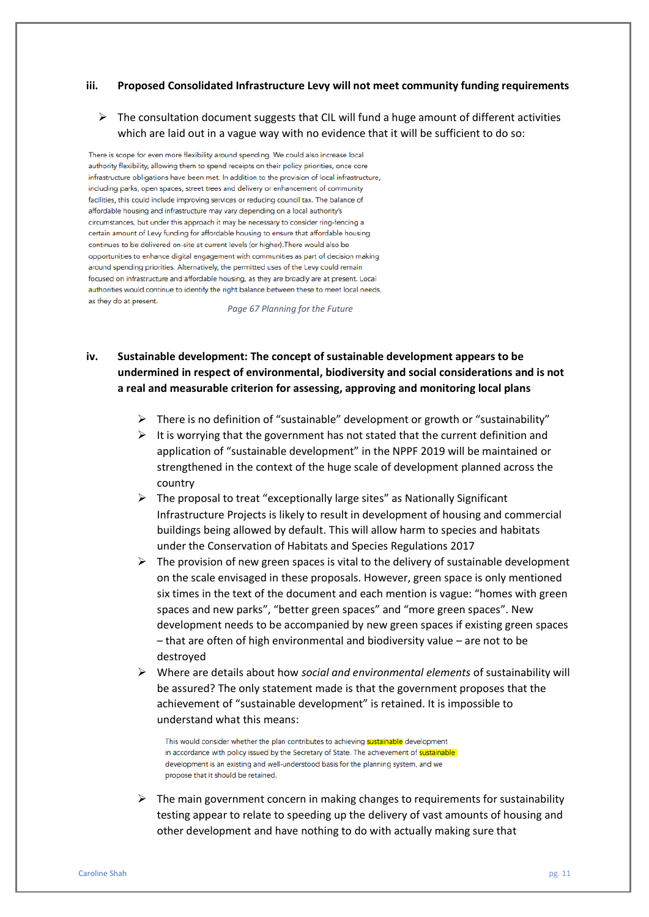#### **iii. Proposed Consolidated Infrastructure Levy will not meet community funding requirements**

 $\triangleright$  The consultation document suggests that CIL will fund a huge amount of different activities which are laid out in a vague way with no evidence that it will be sufficient to do so:

There is scope for even more flexibility around spending. We could also increase local authority flexibility, allowing them to spend receipts on their policy priorities, once core infrastructure obligations have been met. In addition to the provision of local infrastructure. including parks, open spaces, street trees and delivery or enhancement of community facilities, this could include improving services or reducing council tax. The balance of affordable housing and infrastructure may vary depending on a local authority's circumstances, but under this approach it may be necessary to consider ring-fencing a certain amount of Levy funding for affordable housing to ensure that affordable housing continues to be delivered on-site at current levels (or higher). There would also be opportunities to enhance digital engagement with communities as part of decision making around spending priorities. Alternatively, the permitted uses of the Levy could remain focused on infrastructure and affordable housing, as they are broadly are at present. Local authorities would continue to identify the right balance between these to meet local needs, as they do at present.

*Page 67 Planning for the Future* 

- **iv. Sustainable development: The concept of sustainable development appears to be undermined in respect of environmental, biodiversity and social considerations and is not a real and measurable criterion for assessing, approving and monitoring local plans**
	- ➢ There is no definition of "sustainable" development or growth or "sustainability"
	- $\triangleright$  It is worrying that the government has not stated that the current definition and application of "sustainable development" in the NPPF 2019 will be maintained or strengthened in the context of the huge scale of development planned across the country
	- ➢ The proposal to treat "exceptionally large sites" as Nationally Significant Infrastructure Projects is likely to result in development of housing and commercial buildings being allowed by default. This will allow harm to species and habitats under the Conservation of Habitats and Species Regulations 2017
	- $\triangleright$  The provision of new green spaces is vital to the delivery of sustainable development on the scale envisaged in these proposals. However, green space is only mentioned six times in the text of the document and each mention is vague: "homes with green spaces and new parks", "better green spaces" and "more green spaces". New development needs to be accompanied by new green spaces if existing green spaces – that are often of high environmental and biodiversity value – are not to be destroyed
	- ➢ Where are details about how *social and environmental elements* of sustainability will be assured? The only statement made is that the government proposes that the achievement of "sustainable development" is retained. It is impossible to understand what this means:

This would consider whether the plan contributes to achieving **sustainable** development in accordance with policy issued by the Secretary of State. The achievement of sustainable development is an existing and well-understood basis for the planning system, and we propose that it should be retained.

 $\triangleright$  The main government concern in making changes to requirements for sustainability testing appear to relate to speeding up the delivery of vast amounts of housing and other development and have nothing to do with actually making sure that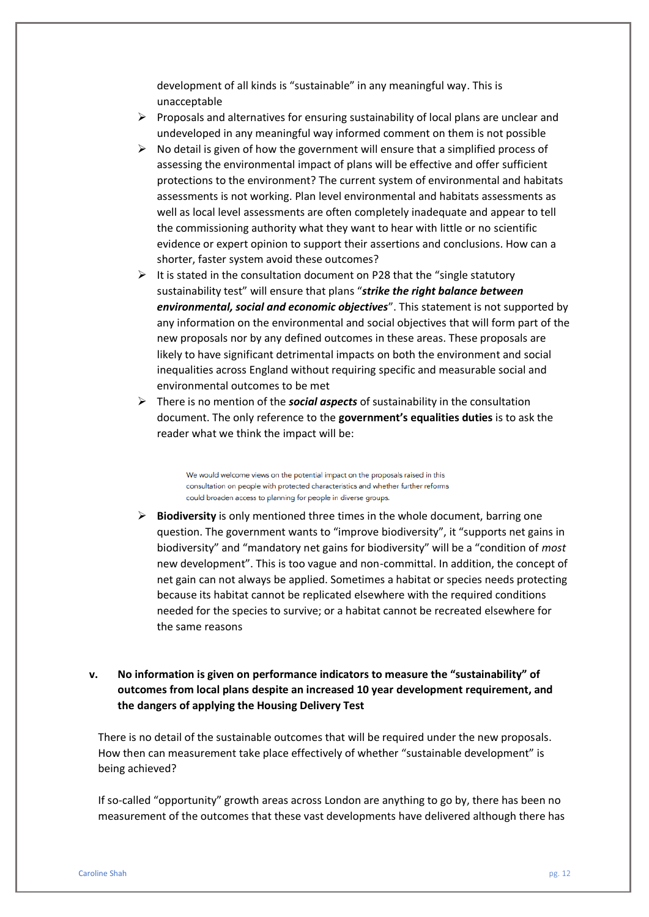development of all kinds is "sustainable" in any meaningful way. This is unacceptable

- $\triangleright$  Proposals and alternatives for ensuring sustainability of local plans are unclear and undeveloped in any meaningful way informed comment on them is not possible
- $\triangleright$  No detail is given of how the government will ensure that a simplified process of assessing the environmental impact of plans will be effective and offer sufficient protections to the environment? The current system of environmental and habitats assessments is not working. Plan level environmental and habitats assessments as well as local level assessments are often completely inadequate and appear to tell the commissioning authority what they want to hear with little or no scientific evidence or expert opinion to support their assertions and conclusions. How can a shorter, faster system avoid these outcomes?
- $\triangleright$  It is stated in the consultation document on P28 that the "single statutory sustainability test" will ensure that plans "*strike the right balance between environmental, social and economic objectives*". This statement is not supported by any information on the environmental and social objectives that will form part of the new proposals nor by any defined outcomes in these areas. These proposals are likely to have significant detrimental impacts on both the environment and social inequalities across England without requiring specific and measurable social and environmental outcomes to be met
- ➢ There is no mention of the *social aspects* of sustainability in the consultation document. The only reference to the **government's equalities duties** is to ask the reader what we think the impact will be:

We would welcome views on the potential impact on the proposals raised in this consultation on people with protected characteristics and whether further reforms could broaden access to planning for people in diverse groups.

- ➢ **Biodiversity** is only mentioned three times in the whole document, barring one question. The government wants to "improve biodiversity", it "supports net gains in biodiversity" and "mandatory net gains for biodiversity" will be a "condition of *most*  new development". This is too vague and non-committal. In addition, the concept of net gain can not always be applied. Sometimes a habitat or species needs protecting because its habitat cannot be replicated elsewhere with the required conditions needed for the species to survive; or a habitat cannot be recreated elsewhere for the same reasons
- **v. No information is given on performance indicators to measure the "sustainability" of outcomes from local plans despite an increased 10 year development requirement, and the dangers of applying the Housing Delivery Test**

There is no detail of the sustainable outcomes that will be required under the new proposals. How then can measurement take place effectively of whether "sustainable development" is being achieved?

If so-called "opportunity" growth areas across London are anything to go by, there has been no measurement of the outcomes that these vast developments have delivered although there has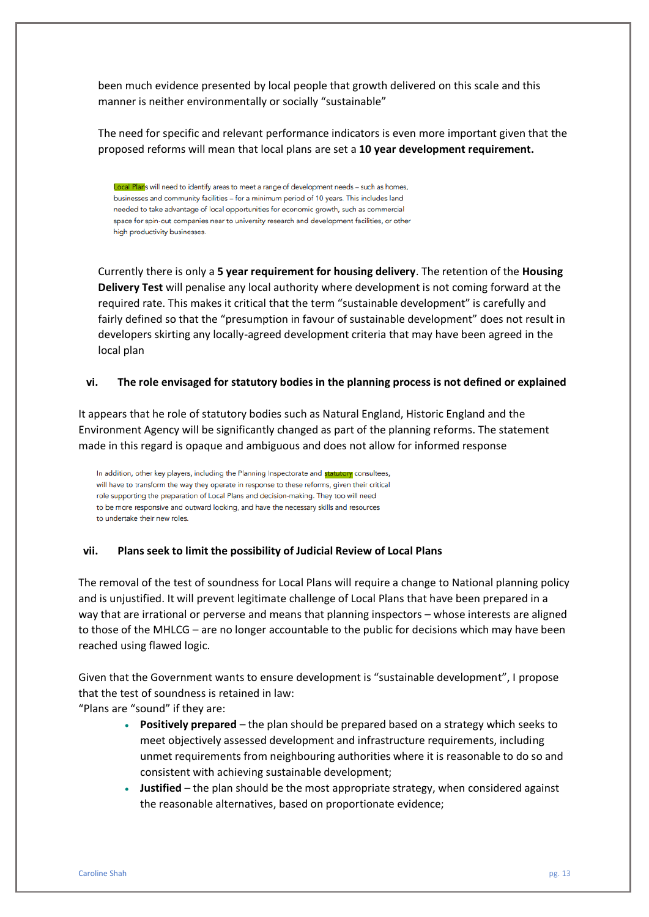been much evidence presented by local people that growth delivered on this scale and this manner is neither environmentally or socially "sustainable"

The need for specific and relevant performance indicators is even more important given that the proposed reforms will mean that local plans are set a **10 year development requirement.** 

Local Plans will need to identify areas to meet a range of development needs - such as homes, businesses and community facilities - for a minimum period of 10 years. This includes land needed to take advantage of local opportunities for economic growth, such as commercial space for spin-out companies near to university research and development facilities, or other high productivity businesses.

Currently there is only a **5 year requirement for housing delivery**. The retention of the **Housing Delivery Test** will penalise any local authority where development is not coming forward at the required rate. This makes it critical that the term "sustainable development" is carefully and fairly defined so that the "presumption in favour of sustainable development" does not result in developers skirting any locally-agreed development criteria that may have been agreed in the local plan

#### **vi. The role envisaged for statutory bodies in the planning process is not defined or explained**

It appears that he role of statutory bodies such as Natural England, Historic England and the Environment Agency will be significantly changed as part of the planning reforms. The statement made in this regard is opaque and ambiguous and does not allow for informed response

In addition, other key players, including the Planning Inspectorate and statutory consultees, will have to transform the way they operate in response to these reforms, given their critical role supporting the preparation of Local Plans and decision-making. They too will need to be more responsive and outward looking, and have the necessary skills and resources to undertake their new roles.

#### **vii. Plans seek to limit the possibility of Judicial Review of Local Plans**

The removal of the test of soundness for Local Plans will require a change to National planning policy and is unjustified. It will prevent legitimate challenge of Local Plans that have been prepared in a way that are irrational or perverse and means that planning inspectors – whose interests are aligned to those of the MHLCG – are no longer accountable to the public for decisions which may have been reached using flawed logic.

Given that the Government wants to ensure development is "sustainable development", I propose that the test of soundness is retained in law:

"Plans are "sound" if they are:

- **Positively prepared**  the plan should be prepared based on a strategy which seeks to meet objectively assessed development and infrastructure requirements, including unmet requirements from neighbouring authorities where it is reasonable to do so and consistent with achieving sustainable development;
- **Justified**  the plan should be the most appropriate strategy, when considered against the reasonable alternatives, based on proportionate evidence;